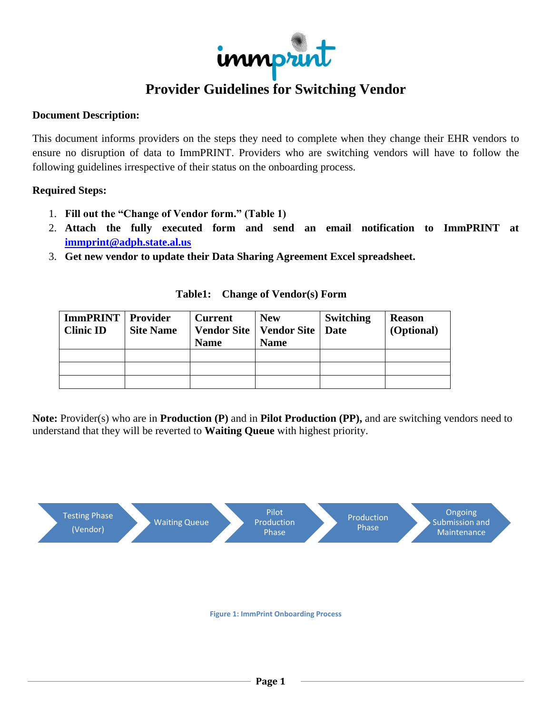

# **Provider Guidelines for Switching Vendor**

## **Document Description:**

This document informs providers on the steps they need to complete when they change their EHR vendors to ensure no disruption of data to ImmPRINT. Providers who are switching vendors will have to follow the following guidelines irrespective of their status on the onboarding process.

### **Required Steps:**

- 1. **Fill out the "Change of Vendor form." (Table 1)**
- 2. **Attach the fully executed form and send an email notification to ImmPRINT at [immprint@adph.state.al.us](mailto:immprint@adph.state.al.us)**
- 3. **Get new vendor to update their Data Sharing Agreement Excel spreadsheet.**

| <b>ImmPRINT</b> Provider<br><b>Clinic ID</b> | <b>Site Name</b> | <b>Current</b><br><b>Name</b> | <b>New</b><br>Vendor Site   Vendor Site  <br><b>Name</b> | <b>Switching</b><br><b>Date</b> | <b>Reason</b><br>(Optional) |
|----------------------------------------------|------------------|-------------------------------|----------------------------------------------------------|---------------------------------|-----------------------------|
|                                              |                  |                               |                                                          |                                 |                             |
|                                              |                  |                               |                                                          |                                 |                             |
|                                              |                  |                               |                                                          |                                 |                             |

#### **Table1: Change of Vendor(s) Form**

**Note:** Provider(s) who are in **Production (P)** and in **Pilot Production (PP),** and are switching vendors need to understand that they will be reverted to **Waiting Queue** with highest priority.